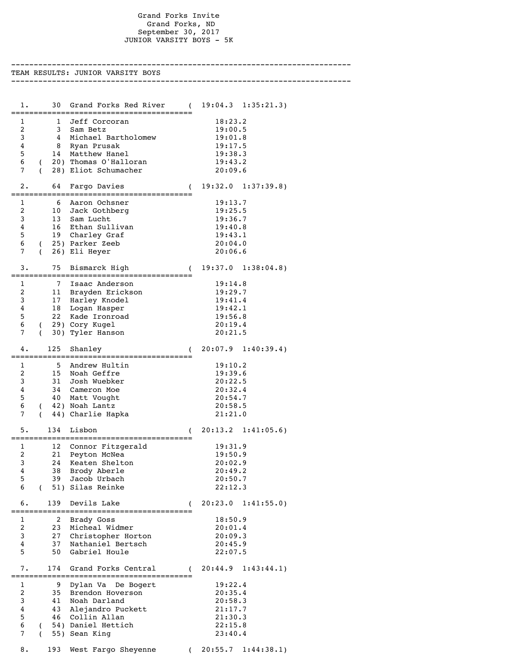## Grand Forks Invite Grand Forks, ND September 30, 2017 JUNIOR VARSITY BOYS - 5K

---------------------------------------------------------------------------

TEAM RESULTS: JUNIOR VARSITY BOYS --------------------------------------------------------------------------- 1. 30 Grand Forks Red River ( 19:04.3 1:35:21.3) ======================================== 1 1 Jeff Corcoran 18:23.2<br>2 3 Sam Betz 19:00.5 2 3 Sam Betz 19:00.5 3 4 Michael Bartholomew 19:01.8 4 8 Ryan Prusak 19:17.5 5 14 Matthew Hanel 19:38.3 6 ( 20) Thomas O'Halloran 19:43.2 7 ( 28) Eliot Schumacher 20:09.6 2. 64 Fargo Davies ( 19:32.0 1:37:39.8) ======================================== 1 6 Aaron Ochsner 19:13.7<br>1 6 Aaron Ochsner 19:13.7 2 10 Jack Gothberg 19:25.5 3 13 Sam Lucht 19:36.7 4 16 Ethan Sullivan 19:40.8 5 19 Charley Graf 19:43.1 6 ( 25) Parker Zeeb 20:04.0 7 ( 26) Eli Heyer 20:06.6 3. 75 Bismarck High ( 19:37.0 1:38:04.8) ======================================== 1 7 Isaac Anderson 19:14.8 2 11 Brayden Erickson 19:29.7 3 17 Harley Knodel 19:41.4 4 18 Logan Hasper 19:42.1 5 22 Kade Ironroad 19:56.8 6 ( 29) Cory Kugel 20:19.4 7 ( 30) Tyler Hanson 20:21.5 4. 125 Shanley ( 20:07.9 1:40:39.4) ======================================== 1 5 Andrew Hultin 19:10.2 2 15 Noah Geffre 19:39.6 3 31 Josh Wuebker 20:22.5 4 34 Cameron Moe 20:32.4 5 40 Matt Vought 20:54.7 6 ( 42) Noah Lantz ( 20:58.5<br>7 ( 44) Charlie Hapka ( 21:21.0 7 ( 44) Charlie Hapka 5. 134 Lisbon ( 20:13.2 1:41:05.6) ======================================== 1 12 Connor Fitzgerald 19:31.9 2 21 Peyton McNea 2 19:50.9 3 24 Keaten Shelton 20:02.9 4 38 Brody Aberle 20:49.2 5 39 Jacob Urbach 20:50.7 6 ( 51) Silas Reinke 22:12.3 6. 139 Devils Lake ( 20:23.0 1:41:55.0) ======================================== 1 2 Brady Goss 18:50.9 2 23 Micheal Widmer 20:01.4 3 27 Christopher Horton 20:09.3 4 37 Nathaniel Bertsch 20:45.9 5 50 Gabriel Houle 22:07.5 7. 174 Grand Forks Central ( 20:44.9 1:43:44.1) ======================================== 1 9 Dylan Va De Bogert 19:22.4 2 35 Brendon Hoverson 20:35.4 3 41 Noah Darland 20:58.3 4 43 Alejandro Puckett 21:17.7 5 46 Collin Allan 21:30.3 6 ( 54) Daniel Hettich 22:15.8 7 ( 55) Sean King 23:40.4 8. 193 West Fargo Sheyenne ( 20:55.7 1:44:38.1)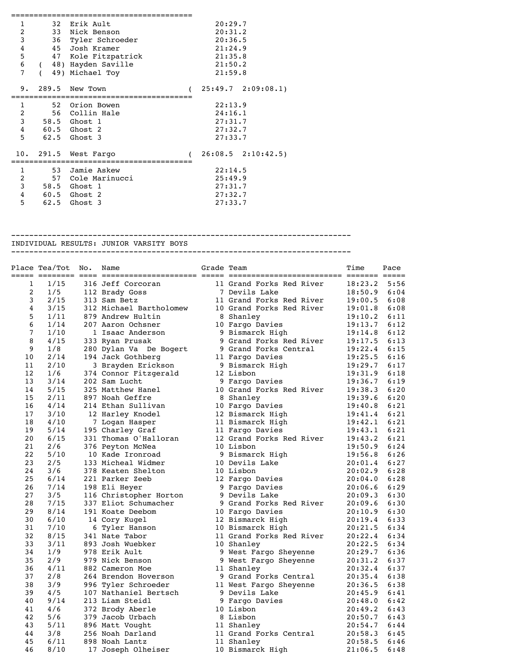| 1              | 32 Erik Ault        |  | 20:29.7 |                       |
|----------------|---------------------|--|---------|-----------------------|
| 2              | 33 Nick Benson      |  | 20:31.2 |                       |
| 3              | 36 Tyler Schroeder  |  | 20:36.5 |                       |
| $\bf 4$        | 45 Josh Kramer      |  | 21:24.9 |                       |
| 5              | 47 Kole Fitzpatrick |  | 21:35.8 |                       |
| 6              | (48) Hayden Saville |  | 21:50.2 |                       |
| 7              | 49) Michael Toy     |  | 21:59.8 |                       |
|                |                     |  |         |                       |
| 9.             | 289.5 New Town      |  |         | $25:49.7$ $2:09:08.1$ |
|                |                     |  |         |                       |
| $\mathbf{1}$   | 52 Orion Bowen      |  | 22:13.9 |                       |
| $\overline{c}$ | 56 Collin Hale      |  | 24:16.1 |                       |
| 3              | 58.5 Ghost 1        |  | 27:31.7 |                       |
| $\overline{4}$ | 60.5 Ghost 2        |  | 27:32.7 |                       |
| 5              | 62.5 Ghost 3        |  | 27:33.7 |                       |
|                |                     |  |         |                       |
| 10.            | 291.5 West Fargo    |  |         | $26:08.5$ $2:10:42.5$ |
| 1              | 53 Jamie Askew      |  | 22:14.5 |                       |
|                |                     |  |         |                       |
| $\overline{2}$ | 57 Cole Marinucci   |  | 25:49.9 |                       |
| 3              | 58.5 Ghost 1        |  | 27:31.7 |                       |
| $\overline{4}$ | 60.5 Ghost 2        |  | 27:32.7 |                       |
| 5              | 62.5 Ghost 3        |  | 27:33.7 |                       |
|                |                     |  |         |                       |

## --------------------------------------------------------------------------- INDIVIDUAL RESULTS: JUNIOR VARSITY BOYS

---------------------------------------------------------------------------

|    | Place Tea/Tot | No. | Name                    | Grade Team |                          | Time    | Pace |
|----|---------------|-----|-------------------------|------------|--------------------------|---------|------|
| 1  | 1/15          |     | 316 Jeff Corcoran       |            | 11 Grand Forks Red River | 18:23.2 | 5:56 |
| 2  | 1/5           |     | 112 Brady Goss          |            | 7 Devils Lake            | 18:50.9 | 6:04 |
| 3  | 2/15          |     | 313 Sam Betz            |            | 11 Grand Forks Red River | 19:00.5 | 6:08 |
| 4  | 3/15          |     | 312 Michael Bartholomew |            | 10 Grand Forks Red River | 19:01.8 | 6:08 |
| 5  | 1/11          |     | 879 Andrew Hultin       |            | 8 Shanley                | 19:10.2 | 6:11 |
| 6  | 1/14          |     | 207 Aaron Ochsner       |            | 10 Fargo Davies          | 19:13.7 | 6:12 |
| 7  | 1/10          |     | 1 Isaac Anderson        |            | 9 Bismarck High          | 19:14.8 | 6:12 |
| 8  | 4/15          |     | 333 Ryan Prusak         |            | 9 Grand Forks Red River  | 19:17.5 | 6:13 |
| 9  | 1/8           |     | 280 Dylan Va De Bogert  |            | 9 Grand Forks Central    | 19:22.4 | 6:15 |
| 10 | 2/14          |     | 194 Jack Gothberg       |            | 11 Fargo Davies          | 19:25.5 | 6:16 |
| 11 | 2/10          |     | 3 Brayden Erickson      |            | 9 Bismarck High          | 19:29.7 | 6:17 |
| 12 | 1/6           |     | 374 Connor Fitzgerald   |            | 12 Lisbon                | 19:31.9 | 6:18 |
| 13 | 3/14          |     | 202 Sam Lucht           |            | 9 Fargo Davies           | 19:36.7 | 6:19 |
| 14 | 5/15          |     | 325 Matthew Hanel       |            | 10 Grand Forks Red River | 19:38.3 | 6:20 |
| 15 | 2/11          |     | 897 Noah Geffre         |            | 8 Shanley                | 19:39.6 | 6:20 |
| 16 | 4/14          |     | 214 Ethan Sullivan      |            | 10 Fargo Davies          | 19:40.8 | 6:21 |
| 17 | 3/10          |     | 12 Harley Knodel        |            | 12 Bismarck High         | 19:41.4 | 6:21 |
| 18 | 4/10          |     | 7 Logan Hasper          |            | 11 Bismarck High         | 19:42.1 | 6:21 |
| 19 | 5/14          |     | 195 Charley Graf        |            | 11 Fargo Davies          | 19:43.1 | 6:21 |
| 20 | 6/15          |     | 331 Thomas O'Halloran   |            | 12 Grand Forks Red River | 19:43.2 | 6:21 |
| 21 | 2/6           |     | 376 Peyton McNea        |            | 10 Lisbon                | 19:50.9 | 6:24 |
| 22 | 5/10          |     | 10 Kade Ironroad        |            | 9 Bismarck High          | 19:56.8 | 6:26 |
| 23 | 2/5           |     | 133 Micheal Widmer      |            | 10 Devils Lake           | 20:01.4 | 6:27 |
| 24 | 3/6           |     | 378 Keaten Shelton      |            | 10 Lisbon                | 20:02.9 | 6:28 |
| 25 | 6/14          |     | 221 Parker Zeeb         |            | 12 Fargo Davies          | 20:04.0 | 6:28 |
| 26 | 7/14          |     | 198 Eli Heyer           |            | 9 Fargo Davies           | 20:06.6 | 6:29 |
| 27 | 3/5           |     | 116 Christopher Horton  |            | 9 Devils Lake            | 20:09.3 | 6:30 |
| 28 | 7/15          |     | 337 Eliot Schumacher    |            | 9 Grand Forks Red River  | 20:09.6 | 6:30 |
| 29 | $8/14$        |     | 191 Koate Deebom        |            | 10 Fargo Davies          | 20:10.9 | 6:30 |
| 30 | 6/10          |     | 14 Cory Kugel           |            | 12 Bismarck High         | 20:19.4 | 6:33 |
| 31 | 7/10          |     | 6 Tyler Hanson          |            | 10 Bismarck High         | 20:21.5 | 6:34 |
| 32 | 8/15          |     | 341 Nate Tabor          |            | 11 Grand Forks Red River | 20:22.4 | 6:34 |
| 33 | 3/11          |     | 893 Josh Wuebker        |            | 10 Shanley               | 20:22.5 | 6:34 |
| 34 | 1/9           |     | 978 Erik Ault           |            | 9 West Fargo Sheyenne    | 20:29.7 | 6:36 |
| 35 | 2/9           |     | 979 Nick Benson         |            | 9 West Fargo Sheyenne    | 20:31.2 | 6:37 |
| 36 | 4/11          |     | 882 Cameron Moe         |            | 11 Shanley               | 20:32.4 | 6:37 |
| 37 | 2/8           |     | 264 Brendon Hoverson    |            | 9 Grand Forks Central    | 20:35.4 | 6:38 |
| 38 | 3/9           |     | 996 Tyler Schroeder     |            | 11 West Fargo Sheyenne   | 20:36.5 | 6:38 |
| 39 | 4/5           |     | 107 Nathaniel Bertsch   |            | 9 Devils Lake            | 20:45.9 | 6:41 |
| 40 | 9/14          |     | 213 Liam Steidl         |            | 9 Fargo Davies           | 20:48.0 | 6:42 |
| 41 | 4/6           |     | 372 Brody Aberle        |            | 10 Lisbon                | 20:49.2 | 6:43 |
| 42 | 5/6           |     | 379 Jacob Urbach        |            | 8 Lisbon                 | 20:50.7 | 6:43 |
| 43 | 5/11          |     | 896 Matt Vought         |            | 11 Shanley               | 20:54.7 | 6:44 |
| 44 | 3/8           |     | 256 Noah Darland        |            | 11 Grand Forks Central   | 20:58.3 | 6:45 |
| 45 | 6/11          |     | 898 Noah Lantz          |            | 11 Shanley               | 20:58.5 | 6:46 |
| 46 | 8/10          |     | 17 Joseph Olheiser      |            | 10 Bismarck High         | 21:06.5 | 6:48 |